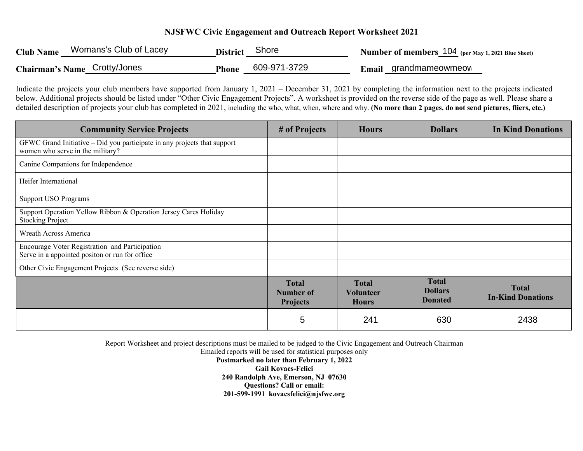## **NJSFWC Civic Engagement and Outreach Report Worksheet 2021**

| <b>Club Name</b> | Womans's Club of Lacey       | <b>District</b> | Shore                 | Number of members 104 (per May 1, 2021 Blue Sheet) |
|------------------|------------------------------|-----------------|-----------------------|----------------------------------------------------|
|                  | Chairman's Name Crotty/Jones | <b>Phone</b>    | 609-971-3729<br>Email | grandmameowmeow                                    |

Indicate the projects your club members have supported from January 1, 2021 – December 31, 2021 by completing the information next to the projects indicated below. Additional projects should be listed under "Other Civic Engagement Projects". A worksheet is provided on the reverse side of the page as well. Please share a detailed description of projects your club has completed in 2021, including the who, what, when, where and why. **(No more than 2 pages, do not send pictures, fliers, etc.)**

| <b>Community Service Projects</b>                                                                            | # of Projects                                | <b>Hours</b>                                     | <b>Dollars</b>                                   | <b>In Kind Donations</b>                 |
|--------------------------------------------------------------------------------------------------------------|----------------------------------------------|--------------------------------------------------|--------------------------------------------------|------------------------------------------|
| GFWC Grand Initiative - Did you participate in any projects that support<br>women who serve in the military? |                                              |                                                  |                                                  |                                          |
| Canine Companions for Independence                                                                           |                                              |                                                  |                                                  |                                          |
| Heifer International                                                                                         |                                              |                                                  |                                                  |                                          |
| <b>Support USO Programs</b>                                                                                  |                                              |                                                  |                                                  |                                          |
| Support Operation Yellow Ribbon & Operation Jersey Cares Holiday<br><b>Stocking Project</b>                  |                                              |                                                  |                                                  |                                          |
| Wreath Across America                                                                                        |                                              |                                                  |                                                  |                                          |
| Encourage Voter Registration and Participation<br>Serve in a appointed positon or run for office             |                                              |                                                  |                                                  |                                          |
| Other Civic Engagement Projects (See reverse side)                                                           |                                              |                                                  |                                                  |                                          |
|                                                                                                              | <b>Total</b><br>Number of<br><b>Projects</b> | <b>Total</b><br><b>Volunteer</b><br><b>Hours</b> | <b>Total</b><br><b>Dollars</b><br><b>Donated</b> | <b>Total</b><br><b>In-Kind Donations</b> |
|                                                                                                              | 5                                            | 241                                              | 630                                              | 2438                                     |

Report Worksheet and project descriptions must be mailed to be judged to the Civic Engagement and Outreach Chairman

Emailed reports will be used for statistical purposes only

**Postmarked no later than February 1, 2022 Gail Kovacs-Felici 240 Randolph Ave, Emerson, NJ 07630 Questions? Call or email: 201-599-1991 kovacsfelici@njsfwc.org**